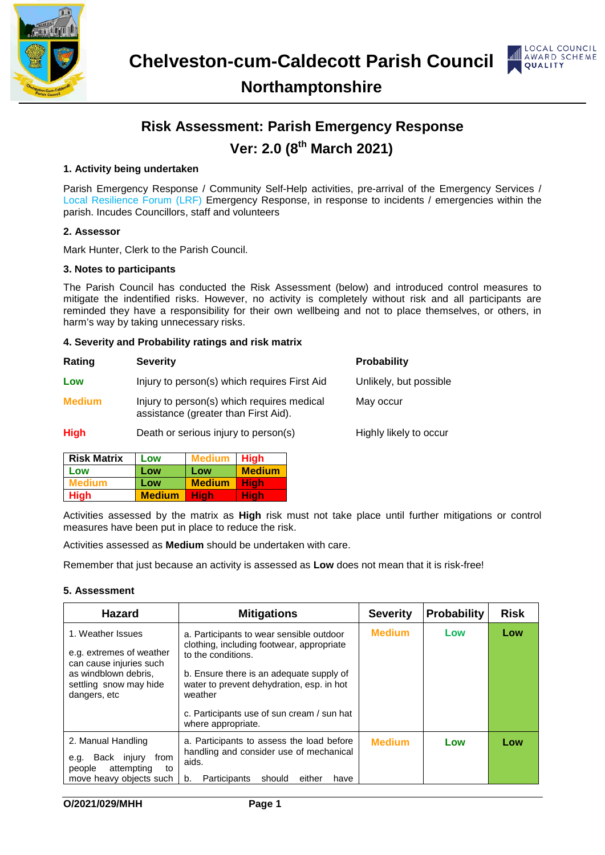



### **Northamptonshire**

### **Risk Assessment: Parish Emergency Response Ver: 2.0 (8th March 2021)**

### **1. Activity being undertaken**

Parish Emergency Response / Community Self-Help activities, pre-arrival of the Emergency Services / Local Resilience Forum (LRF) Emergency Response, in response to incidents / emergencies within the parish. Incudes Councillors, staff and volunteers

#### **2. Assessor**

Mark Hunter, Clerk to the Parish Council.

#### **3. Notes to participants**

The Parish Council has conducted the Risk Assessment (below) and introduced control measures to mitigate the indentified risks. However, no activity is completely without risk and all participants are reminded they have a responsibility for their own wellbeing and not to place themselves, or others, in harm's way by taking unnecessary risks.

#### **4. Severity and Probability ratings and risk matrix**

| Rating        | <b>Severity</b>                                                                    | <b>Probability</b>     |
|---------------|------------------------------------------------------------------------------------|------------------------|
| Low           | Injury to person(s) which requires First Aid                                       | Unlikely, but possible |
| <b>Medium</b> | Injury to person(s) which requires medical<br>assistance (greater than First Aid). | May occur              |
| <b>High</b>   | Death or serious injury to person(s)                                               | Highly likely to occur |

| <b>Risk Matrix</b> | Low           | <b>Medium</b> | Hiah          |
|--------------------|---------------|---------------|---------------|
| Low                | Low           | Low           | <b>Medium</b> |
| <b>Medium</b>      | Low           | <b>Medium</b> | <b>High</b>   |
| <b>High</b>        | <b>Medium</b> | High          | Hiah          |

Activities assessed by the matrix as **High** risk must not take place until further mitigations or control measures have been put in place to reduce the risk.

Activities assessed as **Medium** should be undertaken with care.

Remember that just because an activity is assessed as **Low** does not mean that it is risk-free!

#### **5. Assessment**

| <b>Hazard</b>                                                                                                                              | <b>Mitigations</b>                                                                                                                                                                                                                                            | <b>Severity</b> | <b>Probability</b> | <b>Risk</b> |
|--------------------------------------------------------------------------------------------------------------------------------------------|---------------------------------------------------------------------------------------------------------------------------------------------------------------------------------------------------------------------------------------------------------------|-----------------|--------------------|-------------|
| 1. Weather Issues<br>e.g. extremes of weather<br>can cause injuries such<br>as windblown debris.<br>settling snow may hide<br>dangers, etc | a. Participants to wear sensible outdoor<br>clothing, including footwear, appropriate<br>to the conditions.<br>b. Ensure there is an adequate supply of<br>water to prevent dehydration, esp. in hot<br>weather<br>c. Participants use of sun cream / sun hat | <b>Medium</b>   | Low                | Low         |
|                                                                                                                                            | where appropriate.                                                                                                                                                                                                                                            |                 |                    |             |
| 2. Manual Handling<br>Back injury<br>from<br>e.g.<br>attempting<br>people<br>to<br>move heavy objects such                                 | a. Participants to assess the load before<br>handling and consider use of mechanical<br>aids.<br>either<br>Participants<br>should<br>b.<br>have                                                                                                               | <b>Medium</b>   | Low                | Low         |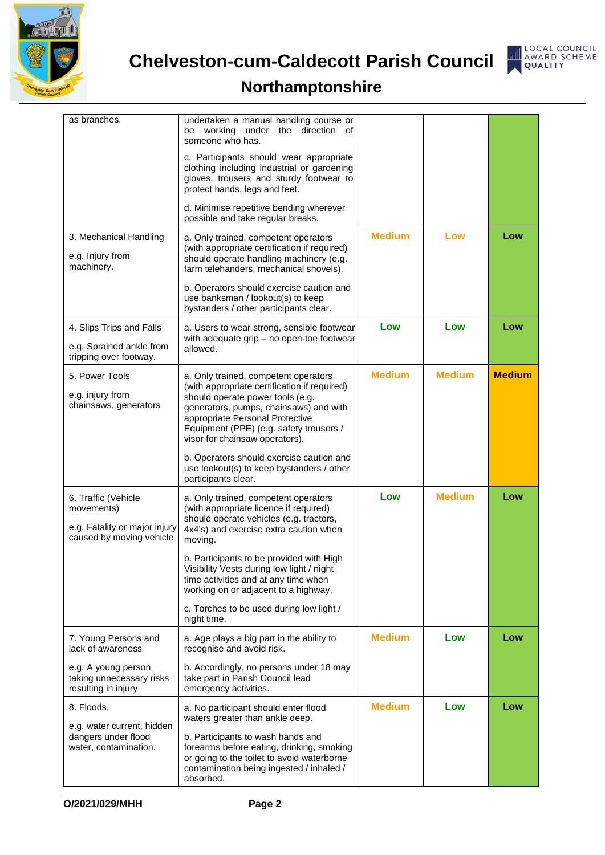



# **Northamptonshire**

| as branches.                                                                                                        | undertaken a manual handling course or<br>be working<br>under the direction of<br>someone who has.<br>c. Participants should wear appropriate<br>clothing including industrial or gardening<br>gloves, trousers and sturdy footwear to<br>protect hands, legs and feet.<br>d. Minimise repetitive bending wherever                                                                                                 |               |               |               |
|---------------------------------------------------------------------------------------------------------------------|--------------------------------------------------------------------------------------------------------------------------------------------------------------------------------------------------------------------------------------------------------------------------------------------------------------------------------------------------------------------------------------------------------------------|---------------|---------------|---------------|
| 3. Mechanical Handling<br>e.g. Injury from<br>machinery.                                                            | possible and take regular breaks.<br>a. Only trained, competent operators<br>(with appropriate certification if required)<br>should operate handling machinery (e.g.<br>farm telehanders, mechanical shovels).<br>b. Operators should exercise caution and                                                                                                                                                         | <b>Medium</b> | Low           | Low           |
| 4. Slips Trips and Falls<br>e.g. Sprained ankle from<br>tripping over footway.                                      | use banksman / lookout(s) to keep<br>bystanders / other participants clear.<br>a. Users to wear strong, sensible footwear<br>with adequate grip - no open-toe footwear<br>allowed.                                                                                                                                                                                                                                 | Low           | Low           | Low           |
| 5. Power Tools<br>e.g. injury from<br>chainsaws, generators                                                         | a. Only trained, competent operators<br>(with appropriate certification if required)<br>should operate power tools (e.g.<br>generators, pumps, chainsaws) and with<br>appropriate Personal Protective<br>Equipment (PPE) (e.g. safety trousers /<br>visor for chainsaw operators).<br>b. Operators should exercise caution and<br>use lookout(s) to keep bystanders / other<br>participants clear.                 | <b>Medium</b> | <b>Medium</b> | <b>Medium</b> |
| 6. Traffic (Vehicle<br>movements)<br>e.g. Fatality or major injury<br>caused by moving vehicle                      | a. Only trained, competent operators<br>(with appropriate licence if required)<br>should operate vehicles (e.g. tractors,<br>4x4's) and exercise extra caution when<br>moving.<br>b. Participants to be provided with High<br>Visibility Vests during low light / night<br>time activities and at any time when<br>working on or adjacent to a highway.<br>c. Torches to be used during low light /<br>night time. | Low           | <b>Medium</b> | Low           |
| 7. Young Persons and<br>lack of awareness<br>e.g. A young person<br>taking unnecessary risks<br>resulting in injury | a. Age plays a big part in the ability to<br>recognise and avoid risk.<br>b. Accordingly, no persons under 18 may<br>take part in Parish Council lead<br>emergency activities.                                                                                                                                                                                                                                     | <b>Medium</b> | Low           | Low           |
| 8. Floods,<br>e.g. water current, hidden<br>dangers under flood<br>water, contamination.                            | a. No participant should enter flood<br>waters greater than ankle deep.<br>b. Participants to wash hands and<br>forearms before eating, drinking, smoking<br>or going to the toilet to avoid waterborne<br>contamination being ingested / inhaled /<br>absorbed.                                                                                                                                                   | <b>Medium</b> | Low           | Low           |